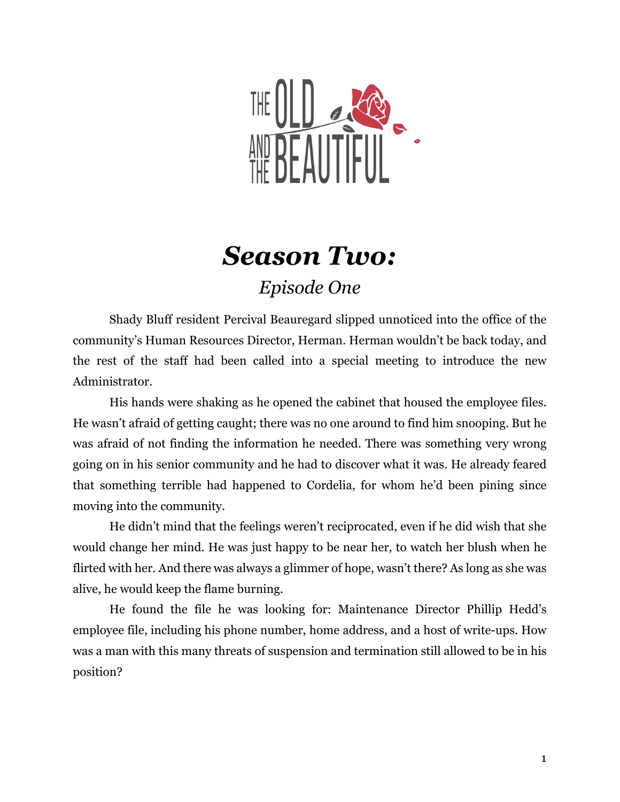

## *Season Two: Episode One*

Shady Bluff resident Percival Beauregard slipped unnoticed into the office of the community's Human Resources Director, Herman. Herman wouldn't be back today, and the rest of the staff had been called into a special meeting to introduce the new Administrator.

His hands were shaking as he opened the cabinet that housed the employee files. He wasn't afraid of getting caught; there was no one around to find him snooping. But he was afraid of not finding the information he needed. There was something very wrong going on in his senior community and he had to discover what it was. He already feared that something terrible had happened to Cordelia, for whom he'd been pining since moving into the community.

He didn't mind that the feelings weren't reciprocated, even if he did wish that she would change her mind. He was just happy to be near her, to watch her blush when he flirted with her. And there was always a glimmer of hope, wasn't there? As long as she was alive, he would keep the flame burning.

He found the file he was looking for: Maintenance Director Phillip Hedd's employee file, including his phone number, home address, and a host of write-ups. How was a man with this many threats of suspension and termination still allowed to be in his position?